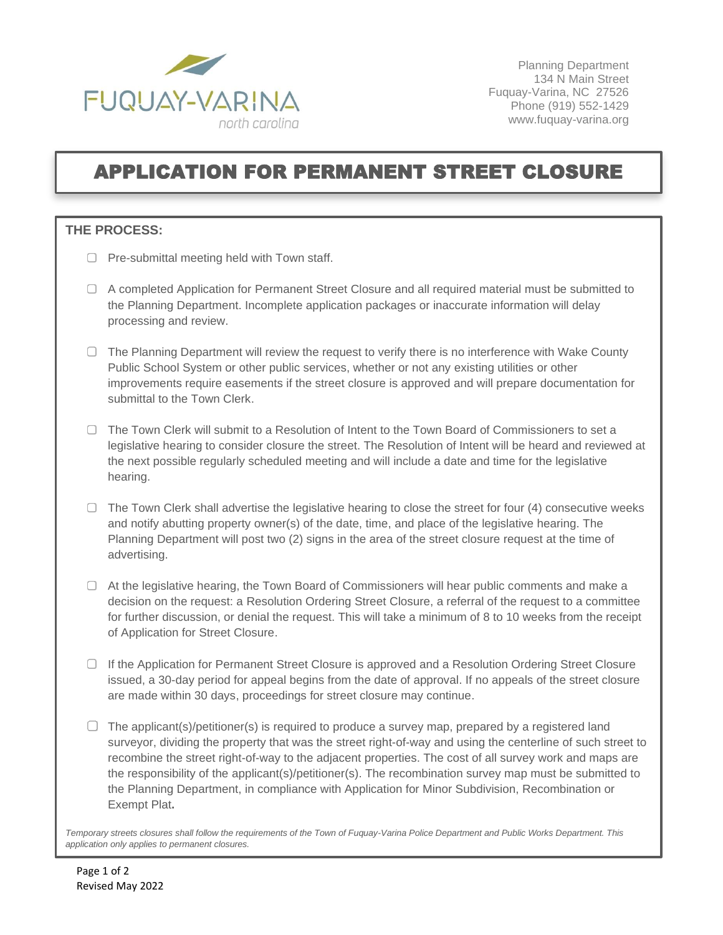

Planning Department 134 N Main Street Fuquay-Varina, NC 27526 Phone (919) 552-1429 www.fuquay-varina.org

## APPLICATION FOR PERMANENT STREET CLOSURE

## **THE PROCESS:**

- $\Box$  Pre-submittal meeting held with Town staff.
- A completed Application for Permanent Street Closure and all required material must be submitted to the Planning Department. Incomplete application packages or inaccurate information will delay processing and review.
- $\Box$  The Planning Department will review the request to verify there is no interference with Wake County Public School System or other public services, whether or not any existing utilities or other improvements require easements if the street closure is approved and will prepare documentation for submittal to the Town Clerk.
- $\Box$  The Town Clerk will submit to a Resolution of Intent to the Town Board of Commissioners to set a legislative hearing to consider closure the street. The Resolution of Intent will be heard and reviewed at the next possible regularly scheduled meeting and will include a date and time for the legislative hearing.
- $\Box$  The Town Clerk shall advertise the legislative hearing to close the street for four (4) consecutive weeks and notify abutting property owner(s) of the date, time, and place of the legislative hearing. The Planning Department will post two (2) signs in the area of the street closure request at the time of advertising.
- $\Box$  At the legislative hearing, the Town Board of Commissioners will hear public comments and make a decision on the request: a Resolution Ordering Street Closure, a referral of the request to a committee for further discussion, or denial the request. This will take a minimum of 8 to 10 weeks from the receipt of Application for Street Closure.
- $\Box$  If the Application for Permanent Street Closure is approved and a Resolution Ordering Street Closure issued, a 30-day period for appeal begins from the date of approval. If no appeals of the street closure are made within 30 days, proceedings for street closure may continue.
- $\Box$  The applicant(s)/petitioner(s) is required to produce a survey map, prepared by a registered land surveyor, dividing the property that was the street right-of-way and using the centerline of such street to recombine the street right-of-way to the adjacent properties. The cost of all survey work and maps are the responsibility of the applicant(s)/petitioner(s). The recombination survey map must be submitted to the Planning Department, in compliance with Application for Minor Subdivision, Recombination or Exempt Plat**.**

*Temporary streets closures shall follow the requirements of the Town of Fuquay-Varina Police Department and Public Works Department. This application only applies to permanent closures.*